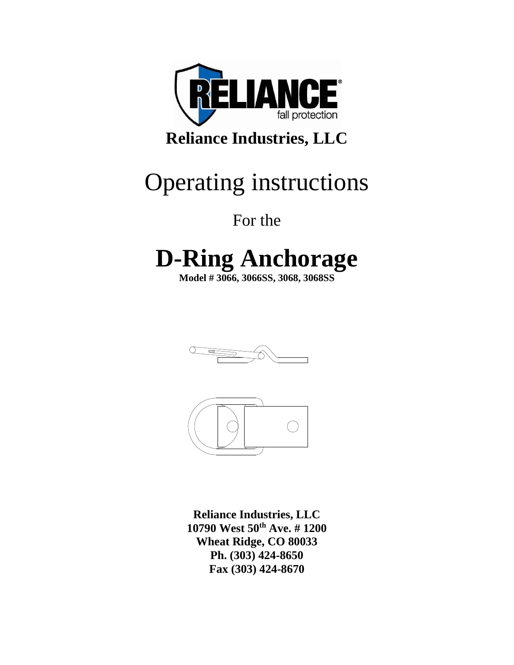

## **Reliance Industries, LLC**

## Operating instructions

For the

# **D-Ring Anchorage**

**Model # 3066, 3066SS, 3068, 3068SS**





**Reliance Industries, LLC 10790 West 50th Ave. # 1200 Wheat Ridge, CO 80033 Ph. (303) 424-8650 Fax (303) 424-8670**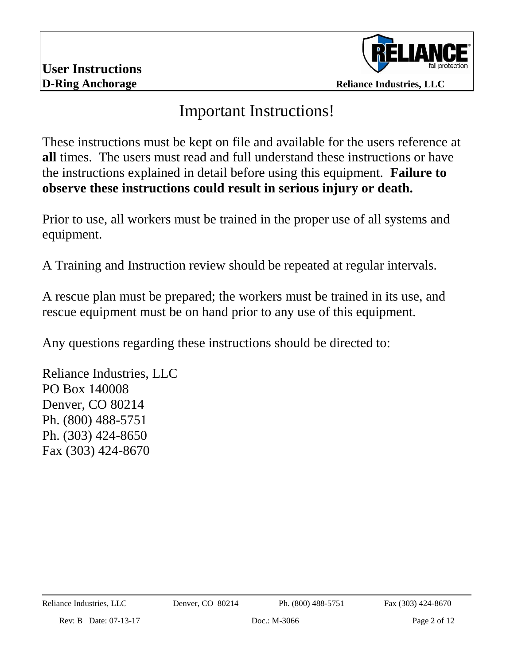

### Important Instructions!

These instructions must be kept on file and available for the users reference at **all** times. The users must read and full understand these instructions or have the instructions explained in detail before using this equipment. **Failure to observe these instructions could result in serious injury or death.**

Prior to use, all workers must be trained in the proper use of all systems and equipment.

A Training and Instruction review should be repeated at regular intervals.

A rescue plan must be prepared; the workers must be trained in its use, and rescue equipment must be on hand prior to any use of this equipment.

Any questions regarding these instructions should be directed to:

Reliance Industries, LLC PO Box 140008 Denver, CO 80214 Ph. (800) 488-5751 Ph. (303) 424-8650 Fax (303) 424-8670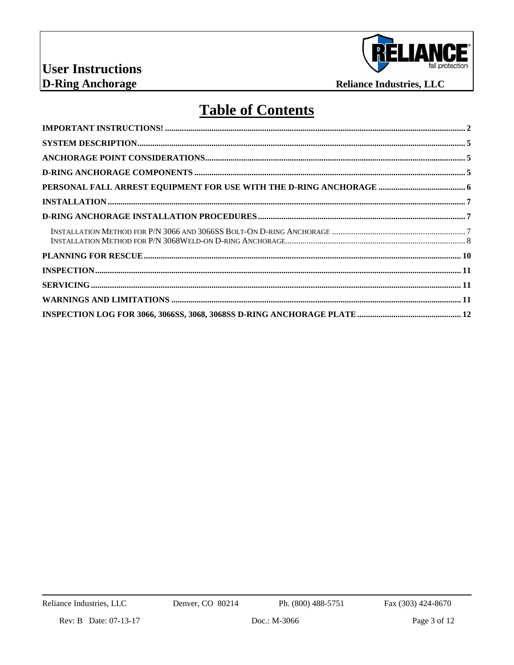

## **Table of Contents**

Ph. (800) 488-5751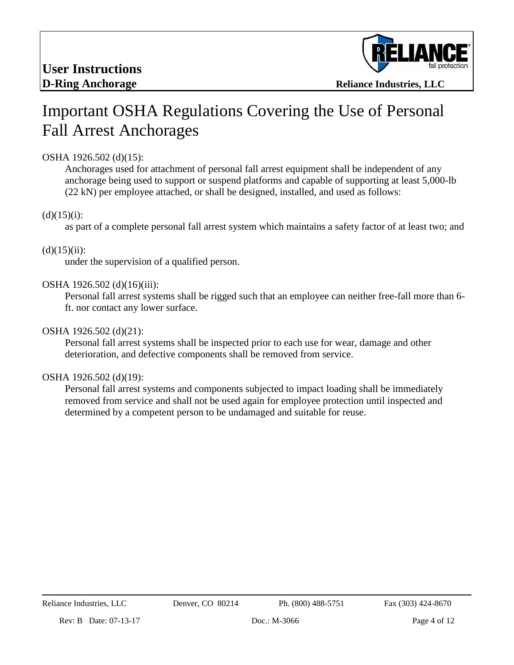

## Important OSHA Regulations Covering the Use of Personal Fall Arrest Anchorages

### OSHA 1926.502 (d)(15):

Anchorages used for attachment of personal fall arrest equipment shall be independent of any anchorage being used to support or suspend platforms and capable of supporting at least 5,000-lb (22 kN) per employee attached, or shall be designed, installed, and used as follows:

### $(d)(15)(i)$ :

as part of a complete personal fall arrest system which maintains a safety factor of at least two; and

#### $(d)(15)(ii)$ :

under the supervision of a qualified person.

### OSHA 1926.502 (d)(16)(iii):

Personal fall arrest systems shall be rigged such that an employee can neither free-fall more than 6 ft. nor contact any lower surface.

### OSHA 1926.502 (d)(21):

Personal fall arrest systems shall be inspected prior to each use for wear, damage and other deterioration, and defective components shall be removed from service.

#### OSHA 1926.502 (d)(19):

Personal fall arrest systems and components subjected to impact loading shall be immediately removed from service and shall not be used again for employee protection until inspected and determined by a competent person to be undamaged and suitable for reuse.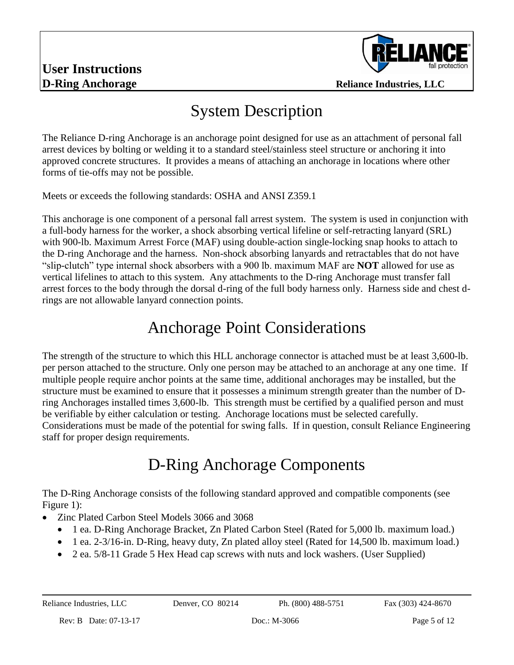

### System Description

The Reliance D-ring Anchorage is an anchorage point designed for use as an attachment of personal fall arrest devices by bolting or welding it to a standard steel/stainless steel structure or anchoring it into approved concrete structures. It provides a means of attaching an anchorage in locations where other forms of tie-offs may not be possible.

Meets or exceeds the following standards: OSHA and ANSI Z359.1

This anchorage is one component of a personal fall arrest system. The system is used in conjunction with a full-body harness for the worker, a shock absorbing vertical lifeline or self-retracting lanyard (SRL) with 900-lb. Maximum Arrest Force (MAF) using double-action single-locking snap hooks to attach to the D-ring Anchorage and the harness. Non-shock absorbing lanyards and retractables that do not have "slip-clutch" type internal shock absorbers with a 900 lb. maximum MAF are **NOT** allowed for use as vertical lifelines to attach to this system. Any attachments to the D-ring Anchorage must transfer fall arrest forces to the body through the dorsal d-ring of the full body harness only. Harness side and chest drings are not allowable lanyard connection points.

### Anchorage Point Considerations

The strength of the structure to which this HLL anchorage connector is attached must be at least 3,600-lb. per person attached to the structure. Only one person may be attached to an anchorage at any one time. If multiple people require anchor points at the same time, additional anchorages may be installed, but the structure must be examined to ensure that it possesses a minimum strength greater than the number of Dring Anchorages installed times 3,600-lb. This strength must be certified by a qualified person and must be verifiable by either calculation or testing. Anchorage locations must be selected carefully. Considerations must be made of the potential for swing falls. If in question, consult Reliance Engineering staff for proper design requirements.

## D-Ring Anchorage Components

The D-Ring Anchorage consists of the following standard approved and compatible components (see Figure 1):

- Zinc Plated Carbon Steel Models 3066 and 3068
	- 1 ea. D-Ring Anchorage Bracket, Zn Plated Carbon Steel (Rated for 5,000 lb. maximum load.)
	- 1 ea. 2-3/16-in. D-Ring, heavy duty, Zn plated alloy steel (Rated for 14,500 lb. maximum load.)
	- 2 ea.  $5/8$ -11 Grade 5 Hex Head cap screws with nuts and lock washers. (User Supplied)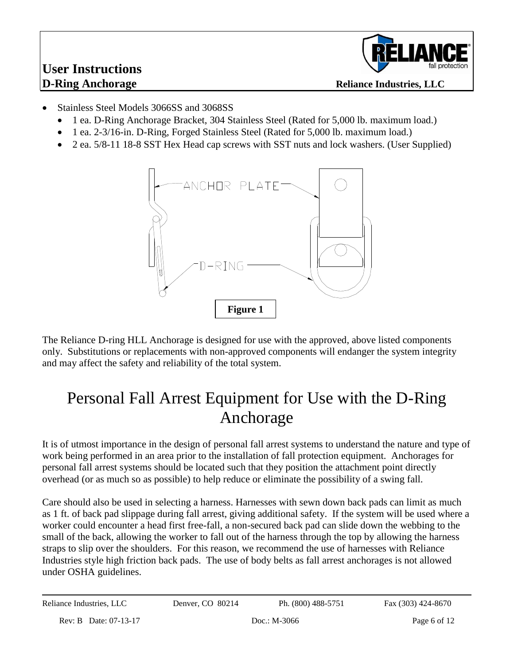# **User Instructions**



- Stainless Steel Models 3066SS and 3068SS
	- 1 ea. D-Ring Anchorage Bracket, 304 Stainless Steel (Rated for 5,000 lb. maximum load.)
	- 1 ea. 2-3/16-in. D-Ring, Forged Stainless Steel (Rated for 5,000 lb. maximum load.)
	- 2 ea.  $5/8$ -11 18-8 SST Hex Head cap screws with SST nuts and lock washers. (User Supplied)



The Reliance D-ring HLL Anchorage is designed for use with the approved, above listed components only. Substitutions or replacements with non-approved components will endanger the system integrity and may affect the safety and reliability of the total system.

### Personal Fall Arrest Equipment for Use with the D-Ring Anchorage

It is of utmost importance in the design of personal fall arrest systems to understand the nature and type of work being performed in an area prior to the installation of fall protection equipment. Anchorages for personal fall arrest systems should be located such that they position the attachment point directly overhead (or as much so as possible) to help reduce or eliminate the possibility of a swing fall.

Care should also be used in selecting a harness. Harnesses with sewn down back pads can limit as much as 1 ft. of back pad slippage during fall arrest, giving additional safety. If the system will be used where a worker could encounter a head first free-fall, a non-secured back pad can slide down the webbing to the small of the back, allowing the worker to fall out of the harness through the top by allowing the harness straps to slip over the shoulders. For this reason, we recommend the use of harnesses with Reliance Industries style high friction back pads. The use of body belts as fall arrest anchorages is not allowed under OSHA guidelines.

Reliance Industries, LLC Denver, CO 80214 Ph. (800) 488-5751 Fax (303) 424-8670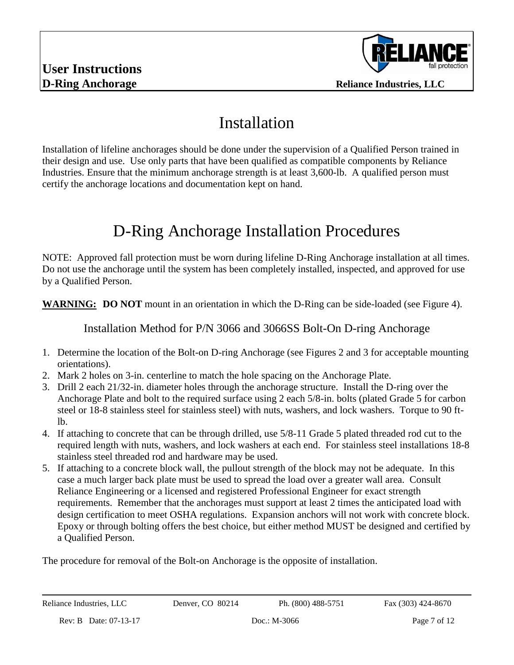

### Installation

Installation of lifeline anchorages should be done under the supervision of a Qualified Person trained in their design and use. Use only parts that have been qualified as compatible components by Reliance Industries. Ensure that the minimum anchorage strength is at least 3,600-lb. A qualified person must certify the anchorage locations and documentation kept on hand.

## D-Ring Anchorage Installation Procedures

NOTE: Approved fall protection must be worn during lifeline D-Ring Anchorage installation at all times. Do not use the anchorage until the system has been completely installed, inspected, and approved for use by a Qualified Person.

**WARNING:** DO NOT mount in an orientation in which the D-Ring can be side-loaded (see Figure 4).

Installation Method for P/N 3066 and 3066SS Bolt-On D-ring Anchorage

- 1. Determine the location of the Bolt-on D-ring Anchorage (see Figures 2 and 3 for acceptable mounting orientations).
- 2. Mark 2 holes on 3-in. centerline to match the hole spacing on the Anchorage Plate.
- 3. Drill 2 each 21/32-in. diameter holes through the anchorage structure. Install the D-ring over the Anchorage Plate and bolt to the required surface using 2 each 5/8-in. bolts (plated Grade 5 for carbon steel or 18-8 stainless steel for stainless steel) with nuts, washers, and lock washers. Torque to 90 ftlb.
- 4. If attaching to concrete that can be through drilled, use 5/8-11 Grade 5 plated threaded rod cut to the required length with nuts, washers, and lock washers at each end. For stainless steel installations 18-8 stainless steel threaded rod and hardware may be used.
- 5. If attaching to a concrete block wall, the pullout strength of the block may not be adequate. In this case a much larger back plate must be used to spread the load over a greater wall area. Consult Reliance Engineering or a licensed and registered Professional Engineer for exact strength requirements. Remember that the anchorages must support at least 2 times the anticipated load with design certification to meet OSHA regulations. Expansion anchors will not work with concrete block. Epoxy or through bolting offers the best choice, but either method MUST be designed and certified by a Qualified Person.

The procedure for removal of the Bolt-on Anchorage is the opposite of installation.

Reliance Industries, LLC Denver, CO 80214 Ph. (800) 488-5751 Fax (303) 424-8670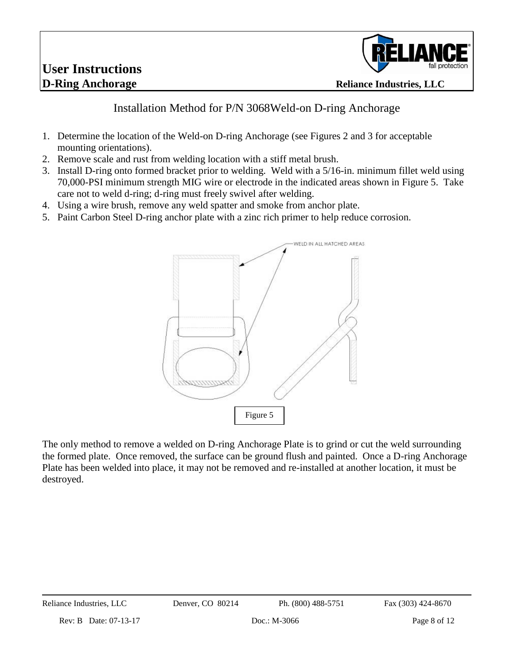# **User Instructions**



### Installation Method for P/N 3068Weld-on D-ring Anchorage

- 1. Determine the location of the Weld-on D-ring Anchorage (see Figures 2 and 3 for acceptable mounting orientations).
- 2. Remove scale and rust from welding location with a stiff metal brush.
- 3. Install D-ring onto formed bracket prior to welding. Weld with a 5/16-in. minimum fillet weld using 70,000-PSI minimum strength MIG wire or electrode in the indicated areas shown in Figure 5. Take care not to weld d-ring; d-ring must freely swivel after welding.
- 4. Using a wire brush, remove any weld spatter and smoke from anchor plate.
- 5. Paint Carbon Steel D-ring anchor plate with a zinc rich primer to help reduce corrosion.



The only method to remove a welded on D-ring Anchorage Plate is to grind or cut the weld surrounding the formed plate. Once removed, the surface can be ground flush and painted. Once a D-ring Anchorage Plate has been welded into place, it may not be removed and re-installed at another location, it must be destroyed.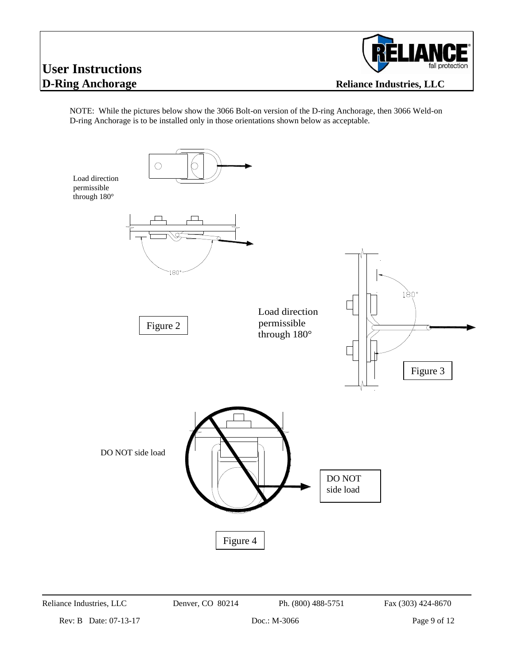# **User Instructions**



NOTE: While the pictures below show the 3066 Bolt-on version of the D-ring Anchorage, then 3066 Weld-on D-ring Anchorage is to be installed only in those orientations shown below as acceptable.



Reliance Industries, LLC Denver, CO 80214 Ph. (800) 488-5751 Fax (303) 424-8670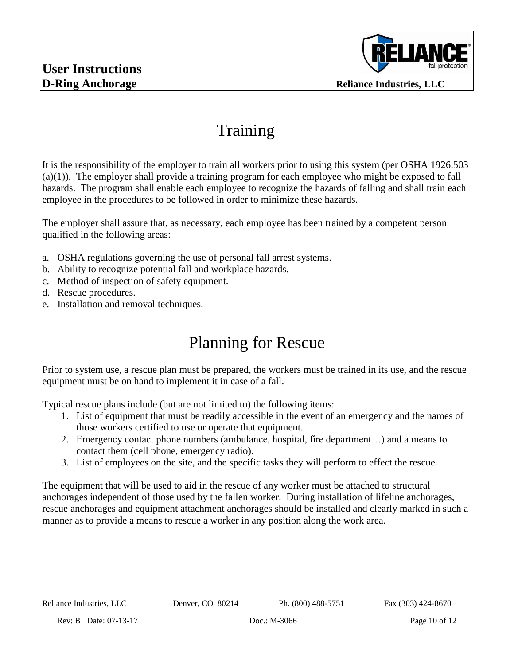

### Training

It is the responsibility of the employer to train all workers prior to using this system (per OSHA 1926.503 (a)(1)). The employer shall provide a training program for each employee who might be exposed to fall hazards. The program shall enable each employee to recognize the hazards of falling and shall train each employee in the procedures to be followed in order to minimize these hazards.

The employer shall assure that, as necessary, each employee has been trained by a competent person qualified in the following areas:

- a. OSHA regulations governing the use of personal fall arrest systems.
- b. Ability to recognize potential fall and workplace hazards.
- c. Method of inspection of safety equipment.
- d. Rescue procedures.
- e. Installation and removal techniques.

### Planning for Rescue

Prior to system use, a rescue plan must be prepared, the workers must be trained in its use, and the rescue equipment must be on hand to implement it in case of a fall.

Typical rescue plans include (but are not limited to) the following items:

- 1. List of equipment that must be readily accessible in the event of an emergency and the names of those workers certified to use or operate that equipment.
- 2. Emergency contact phone numbers (ambulance, hospital, fire department…) and a means to contact them (cell phone, emergency radio).
- 3. List of employees on the site, and the specific tasks they will perform to effect the rescue.

The equipment that will be used to aid in the rescue of any worker must be attached to structural anchorages independent of those used by the fallen worker. During installation of lifeline anchorages, rescue anchorages and equipment attachment anchorages should be installed and clearly marked in such a manner as to provide a means to rescue a worker in any position along the work area.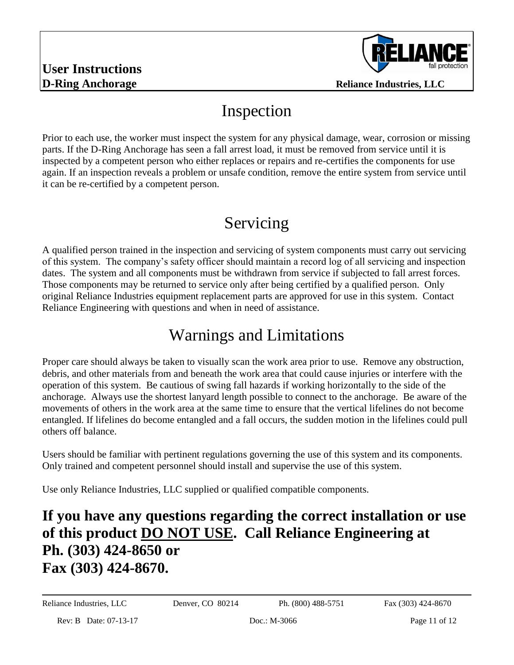

### Inspection

Prior to each use, the worker must inspect the system for any physical damage, wear, corrosion or missing parts. If the D-Ring Anchorage has seen a fall arrest load, it must be removed from service until it is inspected by a competent person who either replaces or repairs and re-certifies the components for use again. If an inspection reveals a problem or unsafe condition, remove the entire system from service until it can be re-certified by a competent person.

## Servicing

A qualified person trained in the inspection and servicing of system components must carry out servicing of this system. The company's safety officer should maintain a record log of all servicing and inspection dates. The system and all components must be withdrawn from service if subjected to fall arrest forces. Those components may be returned to service only after being certified by a qualified person. Only original Reliance Industries equipment replacement parts are approved for use in this system. Contact Reliance Engineering with questions and when in need of assistance.

### Warnings and Limitations

Proper care should always be taken to visually scan the work area prior to use. Remove any obstruction, debris, and other materials from and beneath the work area that could cause injuries or interfere with the operation of this system. Be cautious of swing fall hazards if working horizontally to the side of the anchorage. Always use the shortest lanyard length possible to connect to the anchorage. Be aware of the movements of others in the work area at the same time to ensure that the vertical lifelines do not become entangled. If lifelines do become entangled and a fall occurs, the sudden motion in the lifelines could pull others off balance.

Users should be familiar with pertinent regulations governing the use of this system and its components. Only trained and competent personnel should install and supervise the use of this system.

Use only Reliance Industries, LLC supplied or qualified compatible components.

### **If you have any questions regarding the correct installation or use of this product DO NOT USE. Call Reliance Engineering at Ph. (303) 424-8650 or Fax (303) 424-8670.**